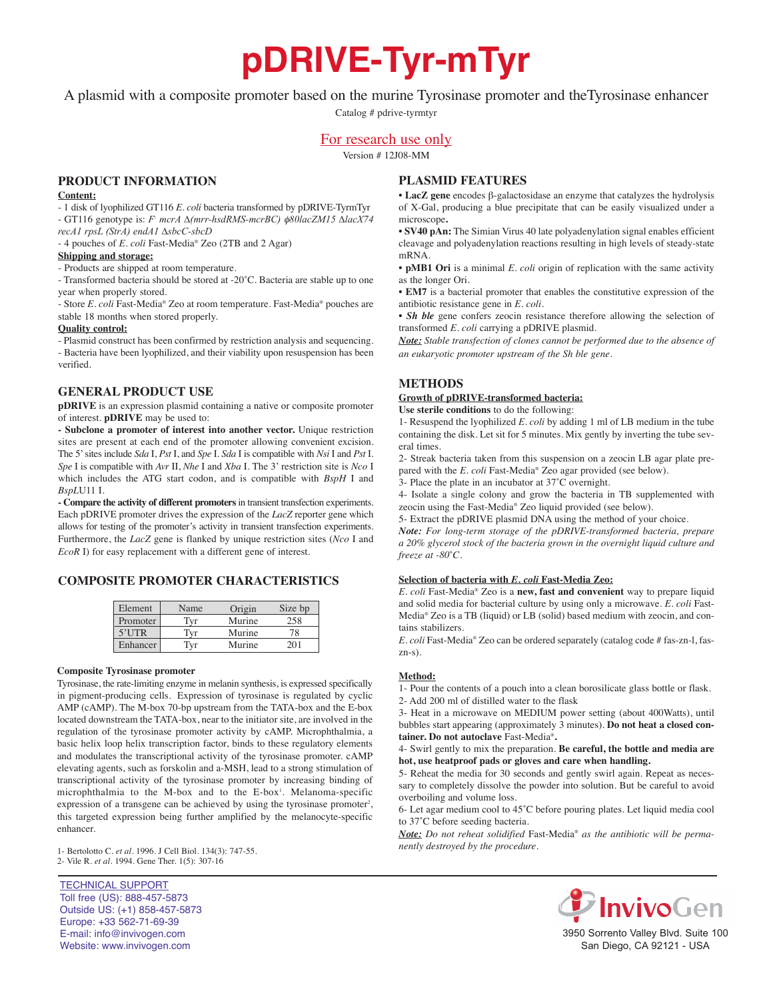# **pDRIVE-Tyr-mTyr**

A plasmid with a composite promoter based on the murine Tyrosinase promoter and theTyrosinase enhancer

Catalog # pdrive-tyrmtyr

## For research use only

Version # 12J08-MM

## **PrOduCt infOrmatiOn**

#### **Content:**

- 1 disk of lyophilized GT116 *E. coli* bacteria transformed by pDRIVE-TyrmTyr

- GT116 genotype is: *F- mcrA ∆(mrr-hsdRMS-mcrBC)* f*80lacZM15 ∆lacX74 recA1 rpsL (StrA) endA1 ∆sbcC-sbcD*

- 4 pouches of *E. coli* Fast-Media® Zeo (2TB and 2 Agar)

#### **shipping and storage:**

- Products are shipped at room temperature.

- Transformed bacteria should be stored at -20*˚*C. Bacteria are stable up to one year when properly stored.

- Store *E. coli* Fast-Media® Zeo at room temperature. Fast-Media® pouches are stable 18 months when stored properly.

#### **Quality control:**

- Plasmid construct has been confirmed by restriction analysis and sequencing. - Bacteria have been lyophilized, and their viability upon resuspension has been verified.

## **General PrOduCt use**

**pDRIVE** is an expression plasmid containing a native or composite promoter of interest. **pDRIVE** may be used to:

**- subclone a promoter of interest into another vector.** Unique restriction sites are present at each end of the promoter allowing convenient excision. The 5'sites include *Sda* I, *Pst* I, and *Spe* I. *Sda* I is compatible with *Nsi* I and *Pst* I. *Spe* I is compatible with *Avr* II, *Nhe* I and *Xba* I. The 3' restriction site is *Nco* I which includes the ATG start codon, and is compatible with *BspH* I and *BspL*U11 I.

**- Compare the activity of different promoters**in transient transfection experiments. Each pDRIVE promoter drives the expression of the *LacZ* reporter gene which allows for testing of the promoter's activity in transient transfection experiments. Furthermore, the *LacZ* gene is flanked by unique restriction sites (*Nco* I and *EcoR* I) for easy replacement with a different gene of interest.

## **COmPOsite PrOmOter CharaCteristiCs**

| Element  | Name | Origin | Size bp |
|----------|------|--------|---------|
| Promoter | Tvr  | Murine | 258     |
| $5'$ UTR | Tvr  | Murine | 78      |
| Enhancer | Tvr  | Murine | ንበ 1    |

#### **Composite tyrosinase promoter**

Tyrosinase, the rate-limiting enzyme in melanin synthesis, is expressed specifically in pigment-producing cells. Expression of tyrosinase is regulated by cyclic AMP (cAMP). The M-box 70-bp upstream from the TATA-box and the E-box located downstream the TATA-box, near to the initiator site, are involved in the regulation of the tyrosinase promoter activity by cAMP. Microphthalmia, a basic helix loop helix transcription factor, binds to these regulatory elements and modulates the transcriptional activity of the tyrosinase promoter. cAMP elevating agents, such as forskolin and a-MSH, lead to a strong stimulation of transcriptional activity of the tyrosinase promoter by increasing binding of microphthalmia to the M-box and to the E-box<sup>1</sup>. Melanoma-specific expression of a transgene can be achieved by using the tyrosinase promoter<sup>2</sup>, this targeted expression being further amplified by the melanocyte-specific enhancer.

1- Bertolotto C. *et al*. 1996. J Cell Biol. 134(3): 747-55. 2- Vile R. *et al*. 1994. Gene Ther. 1(5): 307-16

TECHNICAL SUPPORT Toll free (US): 888-457-5873 Outside US: (+1) 858-457-5873 Europe: +33 562-71-69-39 E-mail: info@invivogen.com Website: www.invivogen.com

## **Plasmid features**

• **lacZ gene** encodes β-galactosidase an enzyme that catalyzes the hydrolysis of X-Gal, producing a blue precipitate that can be easily visualized under a microscope**.**

• **SV40 pAn:** The Simian Virus 40 late polyadenylation signal enables efficient cleavage and polyadenylation reactions resulting in high levels of steady-state mRNA.

• **pmB1 Ori** is a minimal *E. coli* origin of replication with the same activity as the longer Ori.

• **em7** is a bacterial promoter that enables the constitutive expression of the antibiotic resistance gene in *E. coli.*

• *Sh ble* gene confers zeocin resistance therefore allowing the selection of transformed *E. coli* carrying a pDRIVE plasmid.

*Note: Stable transfection of clones cannot be performed due to the absence of an eukaryotic promoter upstream of the Sh ble gene.*

## **methOds**

## **Growth of pdriVe-transformed bacteria:**

**use sterile conditions** to do the following:

1- Resuspend the lyophilized *E. coli* by adding 1 ml of LB medium in the tube containing the disk. Let sit for 5 minutes. Mix gently by inverting the tube several times.

2- Streak bacteria taken from this suspension on a zeocin LB agar plate prepared with the *E. coli* Fast-Media® Zeo agar provided (see below).

3- Place the plate in an incubator at 37˚C overnight.

4- Isolate a single colony and grow the bacteria in TB supplemented with zeocin using the Fast-Media® Zeo liquid provided (see below).

5- Extract the pDRIVE plasmid DNA using the method of your choice.

*Note: For long-term storage of the pDRIVE-transformed bacteria, prepare a 20% glycerol stock of the bacteria grown in the overnight liquid culture and freeze at -80˚C.*

### **selection of bacteria with** *E. coli* **fast-media Zeo:**

*E. coli* Fast-Media® Zeo is a **new, fast and convenient** way to prepare liquid and solid media for bacterial culture by using only a microwave. *E. coli* Fast-Media® Zeo is a TB (liquid) or LB (solid) based medium with zeocin, and contains stabilizers.

*E. coli* Fast-Media® Zeo can be ordered separately (catalog code # fas-zn-l, faszn-s).

### **method:**

1- Pour the contents of a pouch into a clean borosilicate glass bottle or flask.

2- Add 200 ml of distilled water to the flask

3- Heat in a microwave on MEDIUM power setting (about 400Watts), until bubbles start appearing (approximately 3 minutes). **do not heat a closed container. do not autoclave** Fast-Media®**.**

4- Swirl gently to mix the preparation. **Be careful, the bottle and media are hot, use heatproof pads or gloves and care when handling.**

5- Reheat the media for 30 seconds and gently swirl again. Repeat as necessary to completely dissolve the powder into solution. But be careful to avoid overboiling and volume loss.

6- Let agar medium cool to 45˚C before pouring plates. Let liquid media cool to 37˚C before seeding bacteria.

*Note: Do not reheat solidified* Fast-Media® *as the antibiotic will be permanently destroyed by the procedure.*



3950 Sorrento Valley Blvd. Suite 100 San Diego, CA 92121 - USA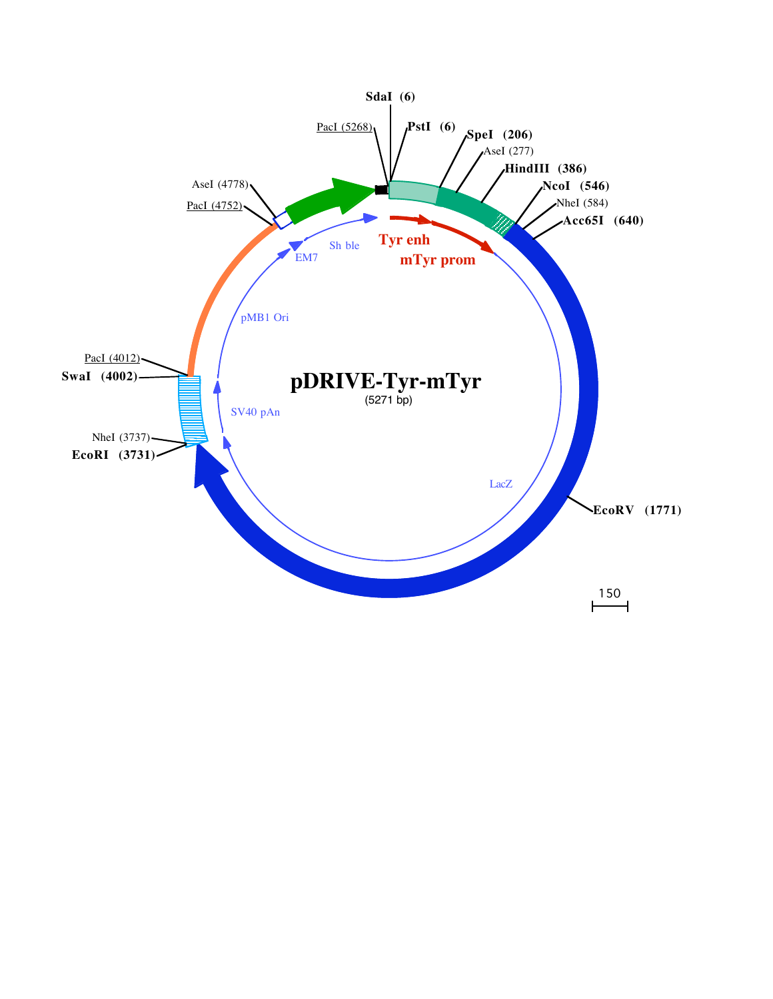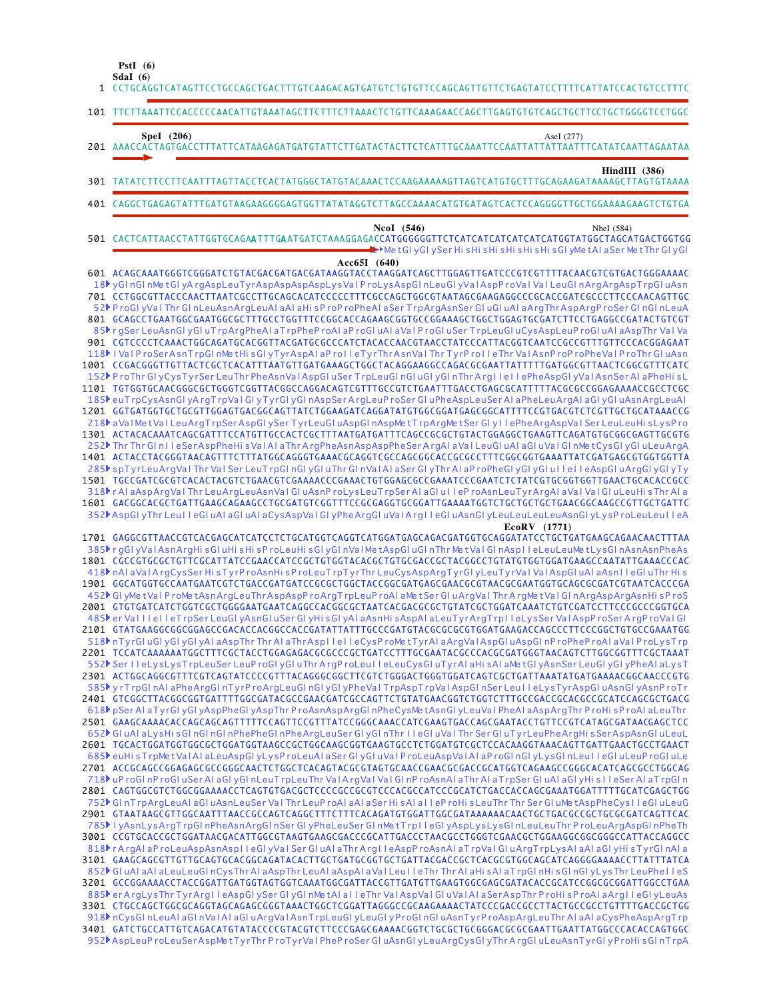**SdaI (6) PstI (6)**

1 CCTGCAGGTCATAGTTCCTGCCAGCTGACTTTGTCAAGACAGTGATGTCTGTGTTCCAGCAGTTGTTCTGAGTATCCTTTTCATTATCCACTGTCCTTTC TTCTTAAATTCCACCCCCAACATTGTAAATAGCTTCTTTCTTAAACTCTGTTCAAAGAACCAGCTTGAGTGTGTCAGCTGCTTCCTGCTGGGGTCCTGGC 101 AAACCACTAGTGACCTTTATTCATAAGAGATGATGTATTCTTGATACTACTTCTCATTTGCAAATTCCAATTATTATTAATTTCATATCAATTAGAATAA **SpeI (206)** AseI (277) 201 TATATCTTCCTTCAATTTAGTTACCTCACTATGGGCTATGTACAAACTCCAAGAAAAAGTTAGTCATGTGCTTTGCAGAAGATAAAAGCTTAGTGTAAAA 301 CAGGCTGAGAGTATTTGATGTAAGAAGGGGAGTGGTTATATAGGTCTTAGCCAAAACATGTGATAGTCACTCCAGGGGTTGCTGGAAAAGAAGTCTGTGA 401 501 CACTCATTAACCTATTGGTGCAGAATTTGAATGATCTAAAGGAGACCATGGGGGGTTCTCATCATCATCATCATCATGGTATGGCTAGCATGACTGGTGG 601 ACAGCAAATGGGTCGGGATCTGTACGACGATGACGATAAGGTACCTAAGGATCAGCTTGGAGTTGATCCCGTCGTTTTACAACGTCGTGACTGGGAAAAC 701 CCTGGCGTTACCCAACTTAATCGCCTTGCAGCACATCCCCCTTTCGCCAGCTGGCGTAATAGCGAAGAGGCCCGCACCGATCGCCCTTCCCAACAGTTGC GCAGCCTGAATGGCGAATGGCGCTTTGCCTGGTTTCCGGCACCAGAAGCGGTGCCGGAAAGCTGGCTGGAGTGCGATCTTCCTGAGGCCGATACTGTCGT 801 901 CGTCCCCTCAAACTGGCAGATGCACGGTTACGATGCGCCCATCTACACCAACGTAACCTATCCCATTACGGTCAATCCGCCGTTTGTTCCCACGGAGAAT 1001 CCGACGGGTTGTTACTCGCTCACATTTAATGTTGATGAAAGCTGGCTACAGGAAGGCCAGACGCGAATTATTTTTGATGGCGTTAACTCGGCGTTTCATC 1101 TGTGGTGCAACGGGCGCTGGGTCGGTTACGGCCAGGACAGTCGTTTGCCGTCTGAATTTGACCTGAGCGCATTTTTACGCGCCGGAGAAAACCGCCTCGC 1201 GGTGATGGTGCTGCGTTGGAGTGACGGCAGTTATCTGGAAGATCAGGATATGTGGCGGATGAGCGGCATTTTCCGTGACGTCTCGTTGCTGCATAAACCG 1301 ACTACACAAATCAGCGATTTCCATGTTGCCACTCGCTTTAATGATGATTTCAGCCGCGCTGTACTGGAGGCTGAAGTTCAGATGTGCGGCGAGTTGCGTG 1401 ACTACCTACGGGTAACAGTTTCTTTATGGCAGGGTGAAACGCAGGTCGCCAGCGGCACCGCGCCTTTCGGCGGTGAAATTATCGATGAGCGTGGTGGTTA 1501 TGCCGATCGCGTCACACTACGTCTGAACGTCGAAAACCCGAAACTGTGGAGCGCCGAAATCCCGAATCTCTATCGTGCGGTGGTTGAACTGCACACCGCC 1601 GACGGCACGCTGATTGAAGCAGAAGCCTGCGATGTCGGTTTCCGCGAGGTGCGGATTGAAAATGGTCTGCTGCTGCTGAACGGCAAGCCGTTGCTGATTC 1701 GAGGCGTTAACCGTCACGAGCATCATCCTCTGCATGGTCAGGTCATGGATGAGCAGACGATGGTGCAGGATATCCTGCTGATGAAGCAGAACAACTTTAA 1801 CGCCGTGCGCTGTTCGCATTATCCGAACCATCCGCTGTGGTACACGCTGTGCGACCGCTACGGCCTGTATGTGGTGGATGAAGCCAATATTGAAACCCAC 1901 GGCATGGTGCCAATGAATCGTCTGACCGATGATCCGCGCTGGCTACCGGCGATGAGCGAACGCGTAACGCGAATGGTGCAGCGCGATCGTAATCACCCGA GTGTGATCATCTGGTCGCTGGGGAATGAATCAGGCCACGGCGCTAATCACGACGCGCTGTATCGCTGGATCAAATCTGTCGATCCTTCCCGCCCGGTGCA 2001 GTATGAAGGCGGCGGAGCCGACACCACGGCCACCGATATTATTTGCCCGATGTACGCGCGCGTGGATGAAGACCAGCCCTTCCCGGCTGTGCCGAAATGG 2101 2201 TCCATCAAAAAATGGCTTTCGCTACCTGGAGAGACGCGCCCGCTGATCCTTTGCGAATACGCCCACGCGGTGGGTAACAGTCTTGGCGGTTTCGCTAAAT 2301 ACTGGCAGGCGTTTCGTCAGTATCCCCGTTTACAGGGCGGCTTCGTCTGGGACTGGGTGGATCAGTCGCTGATTAAATATGATGAAAACGGCAACCCGTG 2401 GTCGGCTTACGGCGGTGATTTTGGCGATACGCCGAACGATCGCCAGTTCTGTATGAACGGTCTGGTCTTTGCCGACCGCACGCCGCATCCAGCGCTGACG 2501 GAAGCAAAACACCAGCAGCAGTTTTTCCAGTTCCGTTTATCCGGGCAAACCATCGAAGTGACCAGCGAATACCTGTTCCGTCATAGCGATAACGAGCTCC TGCACTGGATGGTGGCGCTGGATGGTAAGCCGCTGGCAAGCGGTGAAGTGCCTCTGGATGTCGCTCCACAAGGTAAACAGTTGATTGAACTGCCTGAACT 2601 2701 ACCGCAGCCGGAGAGCGCCGGGCAACTCTGGCTCACAGTACGCGTAGTGCAACCGAACGCGACCGCATGGTCAGAAGCCGGGCACATCAGCGCCTGGCAG 2801 CAGTGGCGTCTGGCGGAAAACCTCAGTGTGACGCTCCCCGCCGCGTCCCACGCCATCCCGCATCTGACCACCAGCGAAATGGATTTTTTGCATCGAGCTGG GTAATAAGCGTTGGCAATTTAACCGCCAGTCAGGCTTTCTTTCACAGATGTGGATTGGCGATAAAAAACAACTGCTGACGCCGCTGCGCGATCAGTTCAC 2901 3001 CCGTGCACCGCTGGATAACGACATTGGCGTAAGTGAAGCGACCCGCATTGACCCTAACGCCTGGGTCGAACGCTGGAAGGCGGCGGCCGATTACCAGGCC GAAGCAGCGTTGTTGCAGTGCACGGCAGATACACTTGCTGATGCGGTGCTGATTACGACCGCTCACGCGTGGCAGCATCAGGGGAAAACCTTATTTATCA 3101 GCCGGAAAACCTACCGGATTGATGGTAGTGGTCAAATGGCGATTACCGTTGATGTTGAAGTGGCGAGCGATACACCGCATCCGGCGCGGATTGGCCTGAA 3201 3301 CTGCCAGCTGGCGCAGGTAGCAGAGCGGGTAAACTGGCTCGGATTAGGGCCGCAAGAAAACTATCCCGACCGCCTTACTGCCGCCTGTTTTGACCGCTGG 3401 GATCTGCCATTGTCAGACATGTATACCCCGTACGTCTTCCCGAGCGAAAACGGTCTGCGCTGCGGACGCGCGAATTGAATTATGGCCCACACCAGTGGC LMetGlyGlySer HisHisHisHisHisHisHisGlyMetAlaSer MetThr GlyGl 18▶ yGl nGl nMetGl yA rgAspLeuTyrAspAspAspAspLysVal P roLysAspGl nLeuGl yValAspP roVal Val LeuGl nArgArgAspTrpGl uAsn 52▶P roGl yVaI Thr GI nLeuAsnArgLeuAI aAI aHi sP roP roPheAI aSer TrpArgAsnSer GI uGI uAI aArgThrAspArgP roSer GI nGI nLeuA 85▶rgSer LeuAsnGl yGl uTrpArgPheAl aTrpPheP roAl aP roGl uAl aVal P roGl uSer TrpLeuGl uCysAspLeuP roGl uAl aAspThr Val Va 118▶ | Va | P roSer AsnT rpG| nMe tHi sG| yTyrAspA| aP ro | | eTyrThrAsnVa | Thr TyrP ro | | eThr Va | AsnP roP roPheVa | P roThr G| uAsn 152▶P roThr GI yCysTyrSer LeuThr PheAsnVaI AspGI uSer TrpLeuGI nGI uGI yGI nThr ArgI I eI I ePheAspGI yVaI AsnSer AI aPheHi sL 185▶euTrpCysAsnGl yA rgTrpVaI GI yTyrGl yGl nAspSerArgLeuP roSer GI uPheAspLeuSer AI aPheLeuArgAI aGI yGI uAsnArgLeuAI 218▶ aVa l MetVal LeuArgTrpSerAspGl ySer TyrLeuGl uAspGl nAspMetTrpArgMetSer Gl y I l ePheArgAspVal Ser LeuLeuHi s LysPro 252▶ Thr Thr Gl n I l eSerAspPheHi s Va I A I aThr ArgPheAsnAspAspPheSer ArgAl aVa I LeuGl uAI aGl uVaI GI nMetCysGl yGl uLeuArgA 285▶ spTyrLeuArgVaI Thr VaI Ser LeuTrpGI nGI yGI uThr GI nVaI AI aSer GI yThr AI aP roPheGI yGI yGI yGI uI l e I l eAspGI uArgGI yGI yTy 318▶r Al aAspArgVal Thr LeuArgLeuAsnVaIGI uAsnP roLy sLeuT rpSer AI aGI u IIeP roAsnLeuTyrArgAI aVaI VaI GI uLeuHi sThr AI a 352▶AspGl yThr Leu I l eGl uAl aGl uAl aCysAspVaI GI yPheArgGl uVaI A rg I l eGl uAsnGl yLeuLeuLeuAsnGl yLysP roLeuLeu I l eA 385▶r gGl yVa l AsnArgHi sGl uHi sHi sP roLeuHi sGl yGl nVa l Me tAspGl uGl nThr Me tVa l Gl nAsp I l eLeuLeuMe tLysGl nAsnAsnPheAs 418▶nAl aValArgCysSer HisTyrP roAsnHisP roLeuTrpTyrThr LeuCysAspArgTyrGl yLeuTyrVal ValAspGl uAl aAsn I leGl uThr His 452▶GI yMetVaIP roMetAsnArgLeuThrAspAspP roArgT rpLeuP roAI aMetSer GI uArgVaI ThrArgMetVaI GI nArgAspArgAsnHi sP roS 485Þer Val I leI leTrpSer LeuGl yAsnGl uSer Gl yHi sGl yAl aAsnHi sAspAl aLeuTyrArgTrp I leLysSer ValAspP roSerArgP roVal Gl 518▶ nTyrGl uGl yGl yGl yAl aAspThr Thr Al aThrAspl l e I leCysP roMetTyrAl aArgValAspGl uAspGl nP roPheP roAl aVal P roLysTrp 552♪ Ser I l eLy sLy sTrpLeuSer LeuP roGl yGl uThr ArgP roLeu I l eLeuCysGl uTyrAl aHi sAl aMetGl yAsnSer LeuGl yGl yPheAl aLy sT 585▶ y rTrpGl nAl aPheArgGl nTyrP roArgLeuGl nGl yGl yPheVaI TrpAspTrpVaIAspGl nSer Leu I l eLysTyrAspGl uAsnGl yAsnP roTr pSer Al aTyrGl yGl yAspPheGl yAspThr P roAsnAspArgGl nPheCysMe tAsnGl yLeuVa l PheAl aAspArgThr P roHi s P roAl aLeuThr 618 652▶GI uAI aLysHi sGI nGI nGI nPhePheGI nPheArgLeuSer GI yGI nThr I I eGI uVaI Thr Ser GI uTyrLeuPheArgHi sSerAspAsnGI uLeuL 685▶ euHi sTrpMetValAl aLeuAspGl yLy sP roLeuAl aSer Gl yGl uValProLeuAspValAl aProGl nGl yLysGl nLeu I leGl uLeuP roGl uLe 718ÞuP roGl nP roGl uSer AI aGl yGl nLeuT rpLeuThr Va I A rgVa I Va I GI nP roAsnAI aThr AI aT rpSer GI uAI aGI yHi s I I eSer AI aT rpGl n 752▶GI nTrpArgLeuAI aGI uAsnLeuSer VaI Thr LeuP roAI aAI aSer Hi sAI aTI eP roHi sLeuThr Thr Ser GI uMe tAspPheCysTI eGI uLeuG 785▶ | yAsnLysArgTrpG| nPheAsnArgG| nSer G| yPheLeuSer G| nMetTrp||eG| yAspLysLysG| nLeuLeuThr ProLeuArgAspG| nPheTh 818▶r ArgAl aP roLeuAspAsnAsp I l eGl yVa I Ser Gl uAl aThr Arg I leAspP roAsnAl aTrpVa I Gl uArgT rpLysAl aAl aGl yHi sTyrGl nAl a 852▶ GI uAI aAI aLeuLeuGI nCysThr AI aAspThr LeuAI aAspAI aVaI Leu I I eThr Thr AI aHi sAI aT rpGI nHi sGI nGI yLysThr LeuPhe I I eS 885▶ er ArgLysThr TyrArg I l eAspGl ySer Gl yGl nMe tAl a I l eThr Va l AspVa l Gl uVa l Al aSer AspThr P roHi s P roAl aArg I l eGl yLeuAs 918▶ nCysGl nLeuAl aGl nValAl aGl uArgValAsnTrpLeuGl yLeuGl yProGl nGl uAsnTyrP roAspArgLeuThr Al aAl aCysPheAspArgTrp 952▶AspLeuP roLeuSerAspMe tTyrThr P roTyrVa l PheP roSer Gl uAsnGl yLeuArgCysGl yThr ArgGl uLeuAsnTyrGl yProHi sGl nTrpA **HindIII (386) NcoI** (546) NheI (584) **Acc65I (640) EcoRV (1771)**